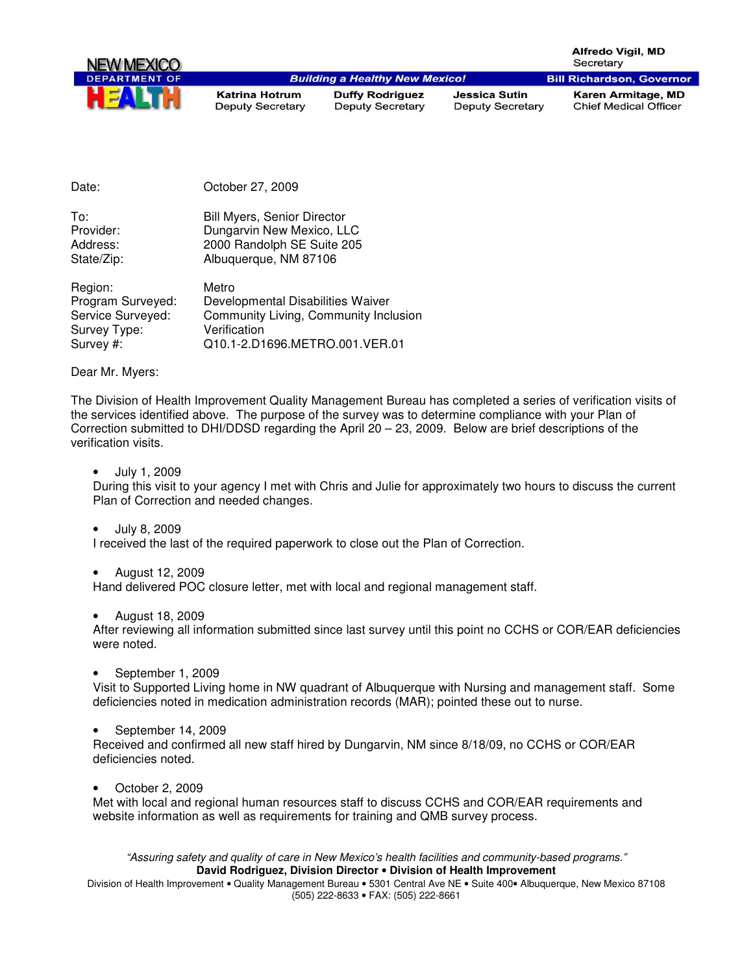

Date: **October 27, 2009** 

| To∶        | <b>Bill Myers, Senior Director</b> |
|------------|------------------------------------|
| Provider:  | Dungarvin New Mexico, LLC          |
| Address:   | 2000 Randolph SE Suite 205         |
| State/Zip: | Albuquerque, NM 87106              |

| Region:           | Metro                                 |
|-------------------|---------------------------------------|
| Program Surveyed: | Developmental Disabilities Waiver     |
| Service Surveyed: | Community Living, Community Inclusion |
| Survey Type:      | Verification                          |
| Survey #:         | Q10.1-2.D1696.METRO.001.VER.01        |

Dear Mr. Myers:

The Division of Health Improvement Quality Management Bureau has completed a series of verification visits of the services identified above. The purpose of the survey was to determine compliance with your Plan of Correction submitted to DHI/DDSD regarding the April 20 – 23, 2009. Below are brief descriptions of the verification visits.

• July 1, 2009

During this visit to your agency I met with Chris and Julie for approximately two hours to discuss the current Plan of Correction and needed changes.

• July 8, 2009

I received the last of the required paperwork to close out the Plan of Correction.

• August 12, 2009

Hand delivered POC closure letter, met with local and regional management staff.

• August 18, 2009

After reviewing all information submitted since last survey until this point no CCHS or COR/EAR deficiencies were noted.

• September 1, 2009

Visit to Supported Living home in NW quadrant of Albuquerque with Nursing and management staff. Some deficiencies noted in medication administration records (MAR); pointed these out to nurse.

• September 14, 2009

Received and confirmed all new staff hired by Dungarvin, NM since 8/18/09, no CCHS or COR/EAR deficiencies noted.

• October 2, 2009

Met with local and regional human resources staff to discuss CCHS and COR/EAR requirements and website information as well as requirements for training and QMB survey process.

"Assuring safety and quality of care in New Mexico's health facilities and community-based programs." **David Rodriguez, Division Director** • **Division of Health Improvement** 

Division of Health Improvement • Quality Management Bureau • 5301 Central Ave NE • Suite 400• Albuquerque, New Mexico 87108 (505) 222-8633 • FAX: (505) 222-8661